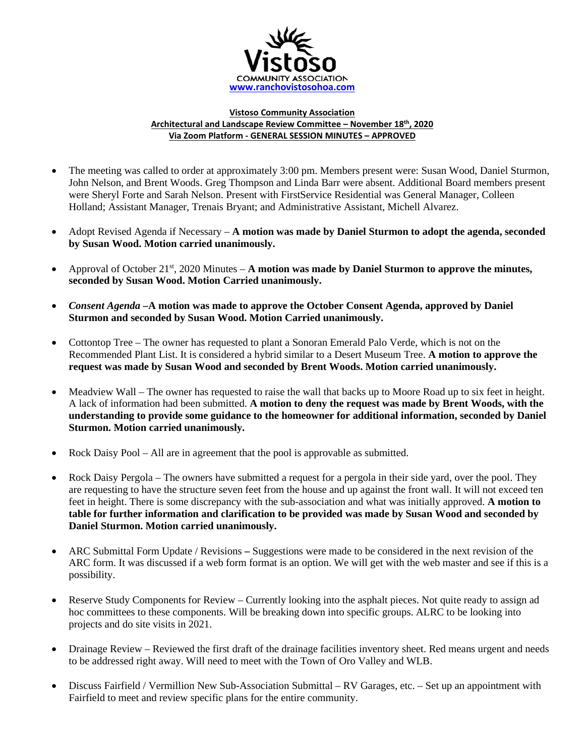

## **Vistoso Community Association Architectural and Landscape Review Committee – November 18th, 2020 Via Zoom Platform - GENERAL SESSION MINUTES – APPROVED**

- The meeting was called to order at approximately 3:00 pm. Members present were: Susan Wood, Daniel Sturmon, John Nelson, and Brent Woods. Greg Thompson and Linda Barr were absent. Additional Board members present were Sheryl Forte and Sarah Nelson. Present with FirstService Residential was General Manager, Colleen Holland; Assistant Manager, Trenais Bryant; and Administrative Assistant, Michell Alvarez.
- Adopt Revised Agenda if Necessary **A motion was made by Daniel Sturmon to adopt the agenda, seconded by Susan Wood. Motion carried unanimously.**
- Approval of October 21st, 2020 Minutes **A motion was made by Daniel Sturmon to approve the minutes, seconded by Susan Wood. Motion Carried unanimously.**
- *Consent Agenda –***A motion was made to approve the October Consent Agenda, approved by Daniel Sturmon and seconded by Susan Wood. Motion Carried unanimously.**
- Cottontop Tree The owner has requested to plant a Sonoran Emerald Palo Verde, which is not on the Recommended Plant List. It is considered a hybrid similar to a Desert Museum Tree. **A motion to approve the request was made by Susan Wood and seconded by Brent Woods. Motion carried unanimously.**
- Meadview Wall The owner has requested to raise the wall that backs up to Moore Road up to six feet in height. A lack of information had been submitted. **A motion to deny the request was made by Brent Woods, with the understanding to provide some guidance to the homeowner for additional information, seconded by Daniel Sturmon. Motion carried unanimously.**
- Rock Daisy Pool All are in agreement that the pool is approvable as submitted.
- Rock Daisy Pergola The owners have submitted a request for a pergola in their side yard, over the pool. They are requesting to have the structure seven feet from the house and up against the front wall. It will not exceed ten feet in height. There is some discrepancy with the sub-association and what was initially approved. **A motion to table for further information and clarification to be provided was made by Susan Wood and seconded by Daniel Sturmon. Motion carried unanimously.**
- ARC Submittal Form Update / RevisionsSuggestions were made to be considered in the next revision of the ARC form. It was discussed if a web form format is an option. We will get with the web master and see if this is a possibility.
- Reserve Study Components for Review Currently looking into the asphalt pieces. Not quite ready to assign ad hoc committees to these components. Will be breaking down into specific groups. ALRC to be looking into projects and do site visits in 2021.
- Drainage Review Reviewed the first draft of the drainage facilities inventory sheet. Red means urgent and needs to be addressed right away. Will need to meet with the Town of Oro Valley and WLB.
- Discuss Fairfield / Vermillion New Sub-Association Submittal RV Garages, etc. Set up an appointment with Fairfield to meet and review specific plans for the entire community.